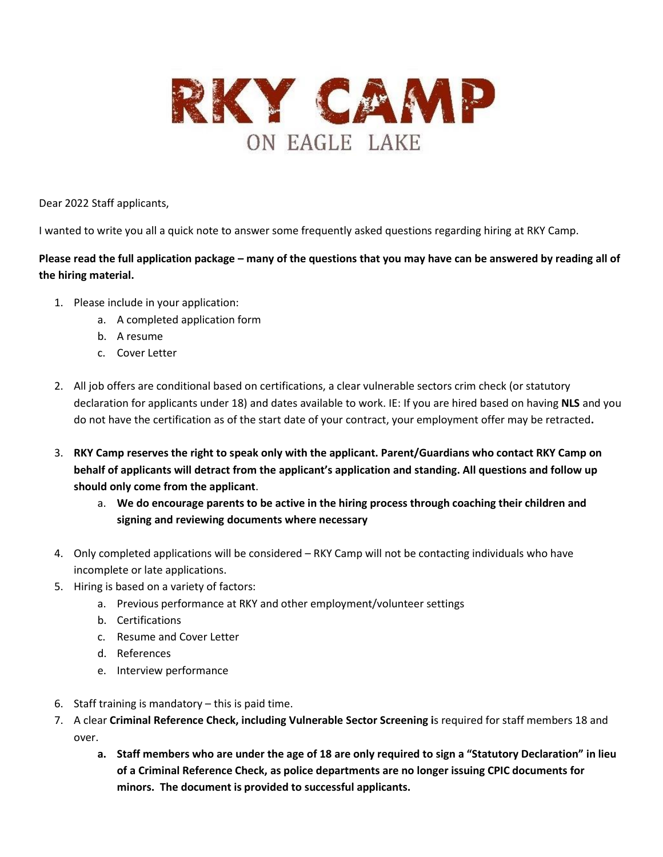

Dear 2022 Staff applicants,

I wanted to write you all a quick note to answer some frequently asked questions regarding hiring at RKY Camp.

**Please read the full application package – many of the questions that you may have can be answered by reading all of the hiring material.** 

- 1. Please include in your application:
	- a. A completed application form
	- b. A resume
	- c. Cover Letter
- 2. All job offers are conditional based on certifications, a clear vulnerable sectors crim check (or statutory declaration for applicants under 18) and dates available to work. IE: If you are hired based on having **NLS** and you do not have the certification as of the start date of your contract, your employment offer may be retracted**.**
- 3. **RKY Camp reserves the right to speak only with the applicant. Parent/Guardians who contact RKY Camp on behalf of applicants will detract from the applicant's application and standing. All questions and follow up should only come from the applicant**.
	- a. **We do encourage parents to be active in the hiring process through coaching their children and signing and reviewing documents where necessary**
- 4. Only completed applications will be considered RKY Camp will not be contacting individuals who have incomplete or late applications.
- 5. Hiring is based on a variety of factors:
	- a. Previous performance at RKY and other employment/volunteer settings
	- b. Certifications
	- c. Resume and Cover Letter
	- d. References
	- e. Interview performance
- 6. Staff training is mandatory this is paid time.
- 7. A clear **Criminal Reference Check, including Vulnerable Sector Screening i**s required for staff members 18 and over.
	- **a. Staff members who are under the age of 18 are only required to sign a "Statutory Declaration" in lieu of a Criminal Reference Check, as police departments are no longer issuing CPIC documents for minors. The document is provided to successful applicants.**